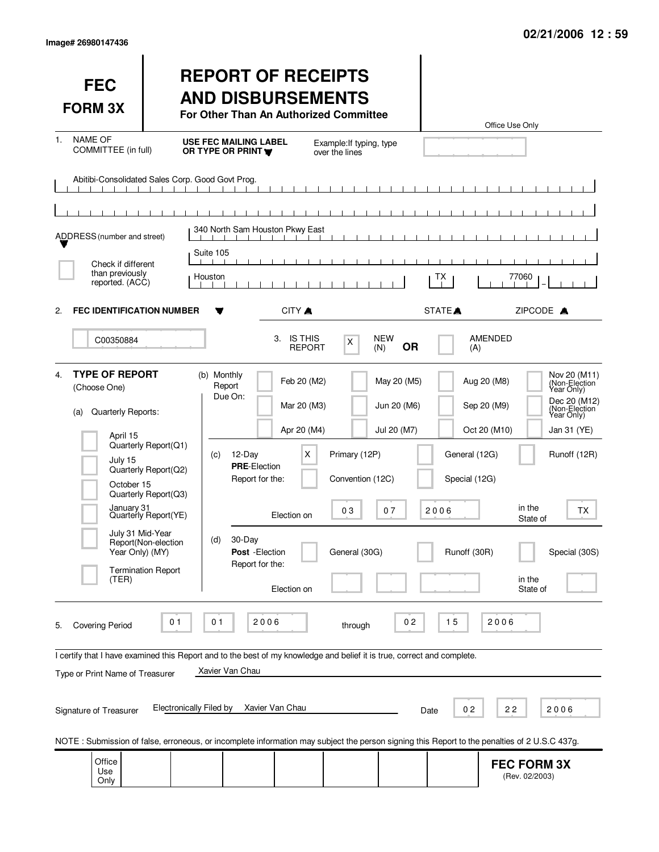| Image# 26980147436 |  |  |
|--------------------|--|--|
|--------------------|--|--|

| <b>FEC</b><br><b>FORM 3X</b>                                                                                                                                                                                                                                                                                                    | <b>REPORT OF RECEIPTS</b><br><b>AND DISBURSEMENTS</b><br>For Other Than An Authorized Committee                                                                                                                                                                                                      | Office Use Only                                                                                                                                                                                                                                                                                                                                   |
|---------------------------------------------------------------------------------------------------------------------------------------------------------------------------------------------------------------------------------------------------------------------------------------------------------------------------------|------------------------------------------------------------------------------------------------------------------------------------------------------------------------------------------------------------------------------------------------------------------------------------------------------|---------------------------------------------------------------------------------------------------------------------------------------------------------------------------------------------------------------------------------------------------------------------------------------------------------------------------------------------------|
| <b>NAME OF</b><br>1.<br>COMMITTEE (in full)                                                                                                                                                                                                                                                                                     | <b>USE FEC MAILING LABEL</b><br>Example: If typing, type<br>OR TYPE OR PRINT<br>over the lines                                                                                                                                                                                                       |                                                                                                                                                                                                                                                                                                                                                   |
| Abitibi-Consolidated Sales Corp. Good Govt Prog.<br>$\mathbf{1}$ $\mathbf{1}$                                                                                                                                                                                                                                                   |                                                                                                                                                                                                                                                                                                      |                                                                                                                                                                                                                                                                                                                                                   |
| ADDRESS (number and street)                                                                                                                                                                                                                                                                                                     | 340 North Sam Houston Pkwy East                                                                                                                                                                                                                                                                      |                                                                                                                                                                                                                                                                                                                                                   |
|                                                                                                                                                                                                                                                                                                                                 | Suite 105                                                                                                                                                                                                                                                                                            |                                                                                                                                                                                                                                                                                                                                                   |
| Check if different<br>than previously<br>reported. (ACC)                                                                                                                                                                                                                                                                        | Houston                                                                                                                                                                                                                                                                                              | 77060<br>ТX                                                                                                                                                                                                                                                                                                                                       |
| <b>FEC IDENTIFICATION NUMBER</b><br>2.                                                                                                                                                                                                                                                                                          | CITY A                                                                                                                                                                                                                                                                                               | STATE <sup>A</sup><br>ZIPCODE A                                                                                                                                                                                                                                                                                                                   |
| C00350884                                                                                                                                                                                                                                                                                                                       | 3. IS THIS<br><b>NEW</b><br>X<br><b>REPORT</b><br>(N)                                                                                                                                                                                                                                                | <b>AMENDED</b><br><b>OR</b><br>(A)                                                                                                                                                                                                                                                                                                                |
| <b>TYPE OF REPORT</b><br>4.<br>(Choose One)<br>Quarterly Reports:<br>(a)<br>April 15<br>Quarterly Report(Q1)<br>July 15<br>Quarterly Report(Q2)<br>October 15<br>Quarterly Report(Q3)<br>January 31<br>Quarterly Report(YE)<br>July 31 Mid-Year<br>Report(Non-election<br>Year Only) (MY)<br><b>Termination Report</b><br>(TER) | (b) Monthly<br>Feb 20 (M2)<br>Report<br>Due On:<br>Mar 20 (M3)<br>Apr 20 (M4)<br>X<br>Primary (12P)<br>(c)<br>12-Day<br><b>PRE-Election</b><br>Report for the:<br>Convention (12C)<br>03<br>07<br>Election on<br>30-Day<br>(d)<br>General (30G)<br>Post - Election<br>Report for the:<br>Election on | Nov 20 (M11)<br>May 20 (M5)<br>Aug 20 (M8)<br>(Non-Election<br>Year Only)<br>Dec 20 (M12)<br>Jun 20 (M6)<br>Sep 20 (M9)<br>(Non-Election<br>Year Only)<br>Jul 20 (M7)<br>Oct 20 (M10)<br>Jan 31 (YE)<br>General (12G)<br>Runoff (12R)<br>Special (12G)<br>in the<br>2006<br>ТX<br>State of<br>Runoff (30R)<br>Special (30S)<br>in the<br>State of |
| 01<br><b>Covering Period</b><br>5.<br>Type or Print Name of Treasurer<br><b>Electronically Filed by</b><br>Signature of Treasurer                                                                                                                                                                                               | 2006<br>01<br>through<br>I certify that I have examined this Report and to the best of my knowledge and belief it is true, correct and complete.<br>Xavier Van Chau<br>Xavier Van Chau                                                                                                               | 2006<br>0 <sub>2</sub><br>15<br>02<br>22<br>2006<br>Date                                                                                                                                                                                                                                                                                          |
| Office<br>Use<br>Only                                                                                                                                                                                                                                                                                                           | NOTE: Submission of false, erroneous, or incomplete information may subject the person signing this Report to the penalties of 2 U.S.C 437g.                                                                                                                                                         | <b>FEC FORM 3X</b><br>(Rev. 02/2003)                                                                                                                                                                                                                                                                                                              |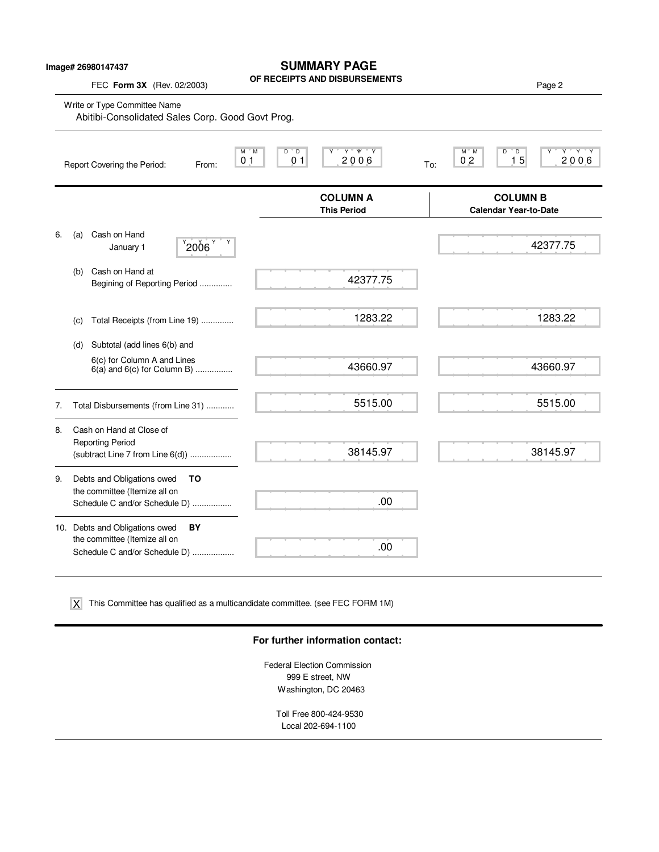| lmage# 26980147437 |  |
|--------------------|--|
|--------------------|--|

 $\overline{\phantom{0}}$ 

## **SUMMARY PAGE**

**OF RECEIPTS AND DISBURSEMENTS**

|    | FEC Form 3X (Rev. 02/2003)                                                                         | וויוםטוסטוט שוואס טור                                                 | Page 2                                                                         |
|----|----------------------------------------------------------------------------------------------------|-----------------------------------------------------------------------|--------------------------------------------------------------------------------|
|    | Write or Type Committee Name<br>Abitibi-Consolidated Sales Corp. Good Govt Prog.                   |                                                                       |                                                                                |
|    | Report Covering the Period:<br>From:                                                               | $Y$ $W$ $Y$<br>D D<br>M M<br>2006<br>0 <sub>1</sub><br>0 <sub>1</sub> | $Y$ $Y$ $Y$<br>M M<br>D<br>$^{\circ}$ D<br>15<br>2006<br>0 <sub>2</sub><br>To: |
|    |                                                                                                    | <b>COLUMN A</b><br><b>This Period</b>                                 | <b>COLUMN B</b><br><b>Calendar Year-to-Date</b>                                |
| 6. | Cash on Hand<br>(a)<br>$^{9}$ 2006 $^{9}$<br>January 1                                             |                                                                       | 42377.75                                                                       |
|    | Cash on Hand at<br>(b)<br>Begining of Reporting Period                                             | 42377.75                                                              |                                                                                |
|    | Total Receipts (from Line 19)<br>(C)                                                               | 1283.22                                                               | 1283.22                                                                        |
|    | Subtotal (add lines 6(b) and<br>(d)                                                                |                                                                       |                                                                                |
|    | 6(c) for Column A and Lines<br>$6(a)$ and $6(c)$ for Column B)                                     | 43660.97                                                              | 43660.97                                                                       |
| 7. | Total Disbursements (from Line 31)                                                                 | 5515.00                                                               | 5515.00                                                                        |
| 8. | Cash on Hand at Close of<br><b>Reporting Period</b><br>(subtract Line $7$ from Line $6(d)$ )       | 38145.97                                                              | 38145.97                                                                       |
| 9. | Debts and Obligations owed<br>ΤO<br>the committee (Itemize all on<br>Schedule C and/or Schedule D) | .00                                                                   |                                                                                |
|    | 10. Debts and Obligations owed<br>BY                                                               |                                                                       |                                                                                |
|    | the committee (Itemize all on<br>Schedule C and/or Schedule D)                                     | .00                                                                   |                                                                                |

This Committee has qualified as a multicandidate committee. (see FEC FORM 1M) X

#### **For further information contact:**

Federal Election Commission 999 E street, NW Washington, DC 20463

> Toll Free 800-424-9530 Local 202-694-1100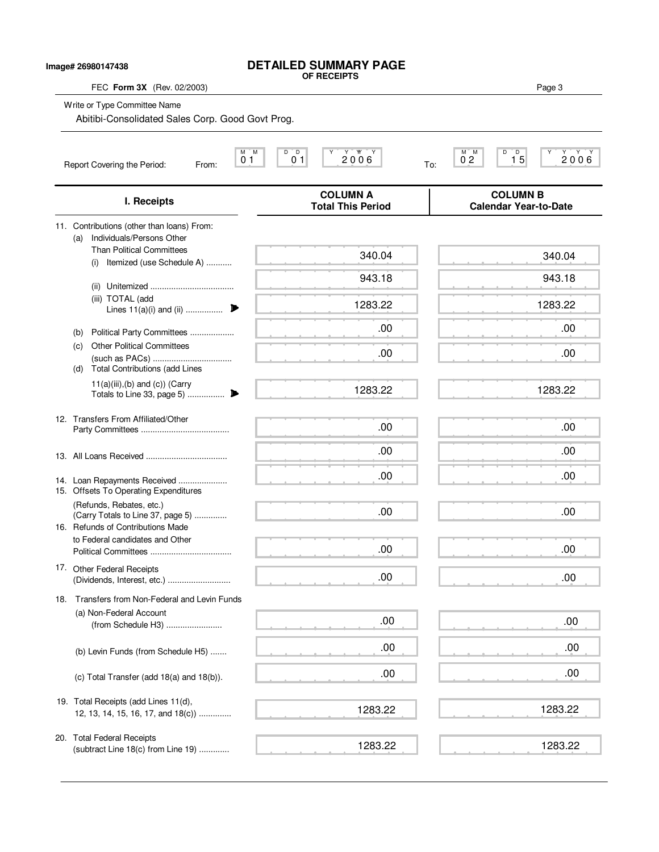| Image# 26980147438                                                                  | <b>DETAILED SUMMARY PAGE</b><br>OF RECEIPTS                               |                                                                |
|-------------------------------------------------------------------------------------|---------------------------------------------------------------------------|----------------------------------------------------------------|
| FEC Form 3X (Rev. 02/2003)                                                          |                                                                           | Page 3                                                         |
| Write or Type Committee Name<br>Abitibi-Consolidated Sales Corp. Good Govt Prog.    |                                                                           |                                                                |
| Report Covering the Period:<br>From:                                                | D<br>20000<br>М<br>M<br>D<br>Υ<br>0 <sub>1</sub><br>0 <sub>1</sub><br>To: | D<br>M M<br>D<br>Y<br>2000<br>0 <sup>2</sup><br>1 <sub>5</sub> |
| I. Receipts                                                                         | <b>COLUMN A</b><br><b>Total This Period</b>                               | <b>COLUMN B</b><br><b>Calendar Year-to-Date</b>                |
| 11. Contributions (other than loans) From:<br>Individuals/Persons Other<br>(a)      |                                                                           |                                                                |
| <b>Than Political Committees</b><br>(i) Itemized (use Schedule A)                   | 340.04                                                                    | 340.04                                                         |
|                                                                                     | 943.18                                                                    | 943.18                                                         |
| (iii) TOTAL (add<br>Lines $11(a)(i)$ and (ii)                                       | 1283.22                                                                   | 1283.22                                                        |
| Political Party Committees<br>(b)                                                   | .00                                                                       | .00                                                            |
| <b>Other Political Committees</b><br>(c)                                            | .00                                                                       | .00                                                            |
| <b>Total Contributions (add Lines</b><br>(d)<br>$11(a)(iii),(b)$ and $(c)$ ) (Carry | 1283.22                                                                   | 1283.22                                                        |
| 12. Transfers From Affiliated/Other                                                 |                                                                           |                                                                |
|                                                                                     | .00                                                                       | .00                                                            |
|                                                                                     | .00                                                                       | .00                                                            |
| 14. Loan Repayments Received<br>15. Offsets To Operating Expenditures               | .00                                                                       | .00                                                            |
| (Refunds, Rebates, etc.)<br>(Carry Totals to Line 37, page 5)                       | .00                                                                       | .00                                                            |
| 16. Refunds of Contributions Made<br>to Federal candidates and Other                | .00                                                                       | .00                                                            |
| 17. Other Federal Receipts                                                          |                                                                           |                                                                |
|                                                                                     | .00                                                                       | .00                                                            |
| 18. Transfers from Non-Federal and Levin Funds                                      |                                                                           |                                                                |
| (a) Non-Federal Account<br>(from Schedule H3)                                       | .00                                                                       | .00                                                            |
| (b) Levin Funds (from Schedule H5)                                                  | .00                                                                       | .00                                                            |
| (c) Total Transfer (add 18(a) and 18(b)).                                           | .00                                                                       | .00                                                            |
| 19. Total Receipts (add Lines 11(d),<br>12, 13, 14, 15, 16, 17, and 18(c))          | 1283.22                                                                   | 1283.22                                                        |
| 20. Total Federal Receipts<br>(subtract Line 18(c) from Line 19)                    | 1283.22                                                                   | 1283.22                                                        |
|                                                                                     |                                                                           |                                                                |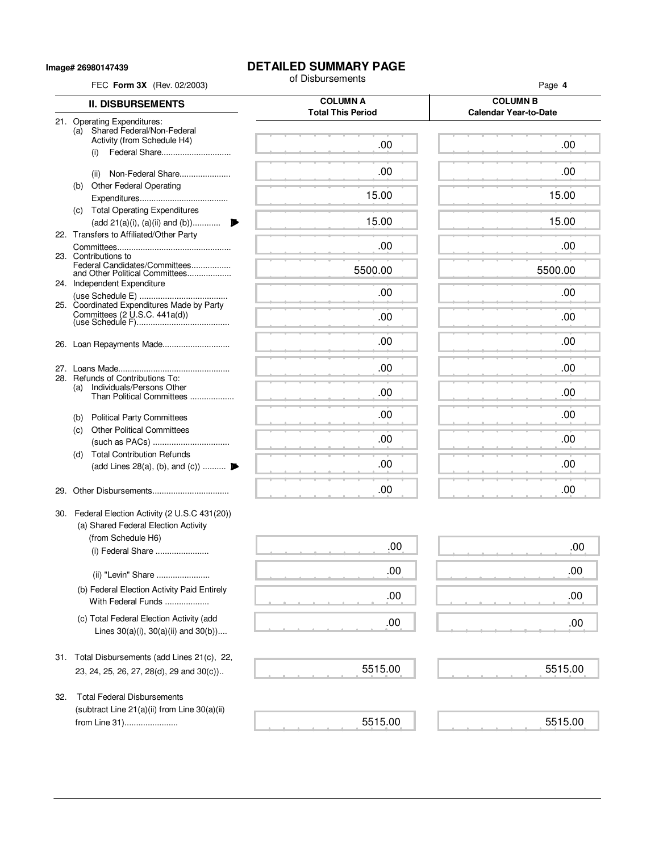**Image# 26980147439**

# **DETAILED SUMMARY PAGE**<br>of Disbursements

| FEC Form 3X (Rev. 02/2003) |                                                                      | of Disbursements                            | Page 4                                          |  |  |  |
|----------------------------|----------------------------------------------------------------------|---------------------------------------------|-------------------------------------------------|--|--|--|
| <b>II. DISBURSEMENTS</b>   |                                                                      | <b>COLUMN A</b><br><b>Total This Period</b> | <b>COLUMN B</b><br><b>Calendar Year-to-Date</b> |  |  |  |
|                            | 21. Operating Expenditures:<br>(a) Shared Federal/Non-Federal        |                                             |                                                 |  |  |  |
|                            | Activity (from Schedule H4)                                          | .00                                         | .00                                             |  |  |  |
|                            | Federal Share<br>(i)                                                 |                                             |                                                 |  |  |  |
|                            | Non-Federal Share<br>(ii)                                            | .00                                         | .00                                             |  |  |  |
|                            | (b) Other Federal Operating                                          | 15.00                                       | 15.00                                           |  |  |  |
|                            | (c) Total Operating Expenditures                                     |                                             |                                                 |  |  |  |
|                            | (add 21(a)(i), (a)(ii) and (b))                                      | 15.00                                       | 15.00                                           |  |  |  |
|                            | 22. Transfers to Affiliated/Other Party                              |                                             |                                                 |  |  |  |
|                            | 23. Contributions to                                                 | .00                                         | .00                                             |  |  |  |
|                            | Federal Candidates/Committees<br>and Other Political Committees      | 5500.00                                     | 5500.00                                         |  |  |  |
|                            | 24. Independent Expenditure                                          | .00                                         | .00                                             |  |  |  |
|                            | 25. Coordinated Expenditures Made by Party                           |                                             |                                                 |  |  |  |
|                            | Committees (2 U.S.C. 441a(d))                                        | .00                                         | .00                                             |  |  |  |
|                            |                                                                      | .00                                         | .00                                             |  |  |  |
|                            | 26. Loan Repayments Made                                             |                                             |                                                 |  |  |  |
|                            |                                                                      | .00                                         | .00                                             |  |  |  |
|                            | 28. Refunds of Contributions To:<br>Individuals/Persons Other<br>(a) |                                             |                                                 |  |  |  |
|                            | Than Political Committees                                            | .00                                         | .00                                             |  |  |  |
|                            | <b>Political Party Committees</b><br>(b)                             | .00                                         | .00                                             |  |  |  |
|                            | <b>Other Political Committees</b><br>(c)                             | .00                                         | .00                                             |  |  |  |
|                            | <b>Total Contribution Refunds</b><br>(d)                             |                                             |                                                 |  |  |  |
|                            | (add Lines 28(a), (b), and (c))                                      | .00                                         | .00                                             |  |  |  |
|                            |                                                                      | .00                                         | .00                                             |  |  |  |
| 29.                        |                                                                      |                                             |                                                 |  |  |  |
|                            | 30. Federal Election Activity (2 U.S.C 431(20))                      |                                             |                                                 |  |  |  |
|                            | (a) Shared Federal Election Activity<br>(from Schedule H6)           |                                             |                                                 |  |  |  |
|                            | (i) Federal Share                                                    | .00                                         | .00                                             |  |  |  |
|                            |                                                                      |                                             | .00                                             |  |  |  |
|                            | (ii) "Levin" Share                                                   | .00                                         |                                                 |  |  |  |
|                            | (b) Federal Election Activity Paid Entirely<br>With Federal Funds    | .00                                         | .00                                             |  |  |  |
|                            | (c) Total Federal Election Activity (add                             |                                             |                                                 |  |  |  |
|                            | Lines $30(a)(i)$ , $30(a)(ii)$ and $30(b)$ )                         | .00                                         | .00                                             |  |  |  |
|                            |                                                                      |                                             |                                                 |  |  |  |
|                            | 31. Total Disbursements (add Lines 21(c), 22,                        |                                             |                                                 |  |  |  |
|                            | 23, 24, 25, 26, 27, 28(d), 29 and 30(c))                             | 5515.00                                     | 5515.00                                         |  |  |  |
| 32.                        | <b>Total Federal Disbursements</b>                                   |                                             |                                                 |  |  |  |
|                            | (subtract Line 21(a)(ii) from Line 30(a)(ii)                         |                                             |                                                 |  |  |  |
|                            | from Line 31)                                                        | 5515.00                                     | 5515.00                                         |  |  |  |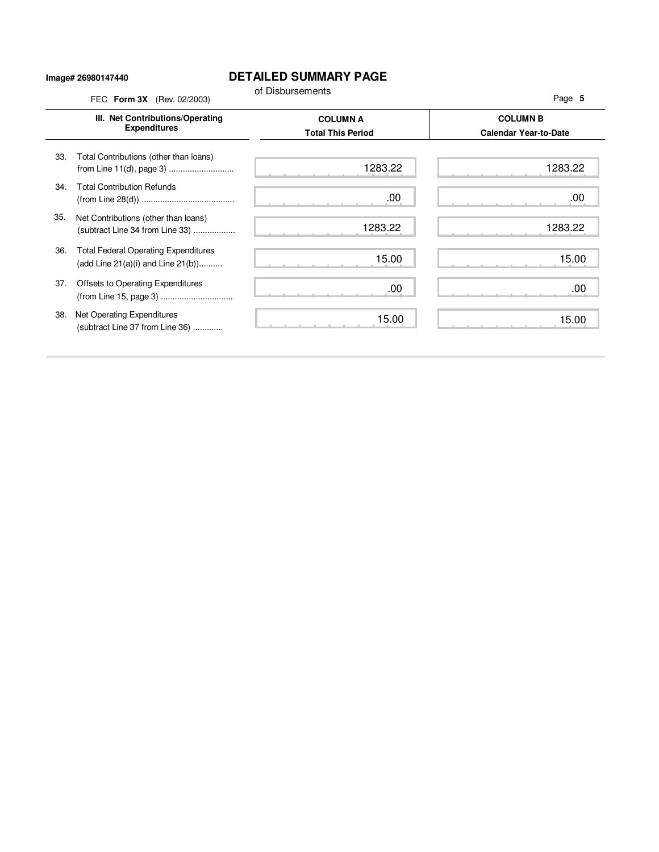#### **Image# 26980147440**

### **DETAILED SUMMARY PAGE**

|     | FEC Form 3X (Rev. 02/2003)                                                             | of Disbursements                            | Page 5                                          |
|-----|----------------------------------------------------------------------------------------|---------------------------------------------|-------------------------------------------------|
|     | III. Net Contributions/Operating<br><b>Expenditures</b>                                | <b>COLUMN A</b><br><b>Total This Period</b> | <b>COLUMN B</b><br><b>Calendar Year-to-Date</b> |
| 33. | Total Contributions (other than loans)<br>from Line 11(d), page 3)                     | 1283.22                                     | 1283.22                                         |
| 34. | <b>Total Contribution Refunds</b>                                                      | .00                                         | .00                                             |
| 35. | Net Contributions (other than loans)<br>(subtract Line 34 from Line 33)                | 1283.22                                     | 1283.22                                         |
| 36. | <b>Total Federal Operating Expenditures</b><br>(add Line $21(a)(i)$ and Line $21(b)$ ) | 15.00                                       | 15.00                                           |
| 37. | Offsets to Operating Expenditures                                                      | .00                                         | .00                                             |
| 38. | Net Operating Expenditures<br>(subtract Line 37 from Line 36)                          | 15.00                                       | 15.00                                           |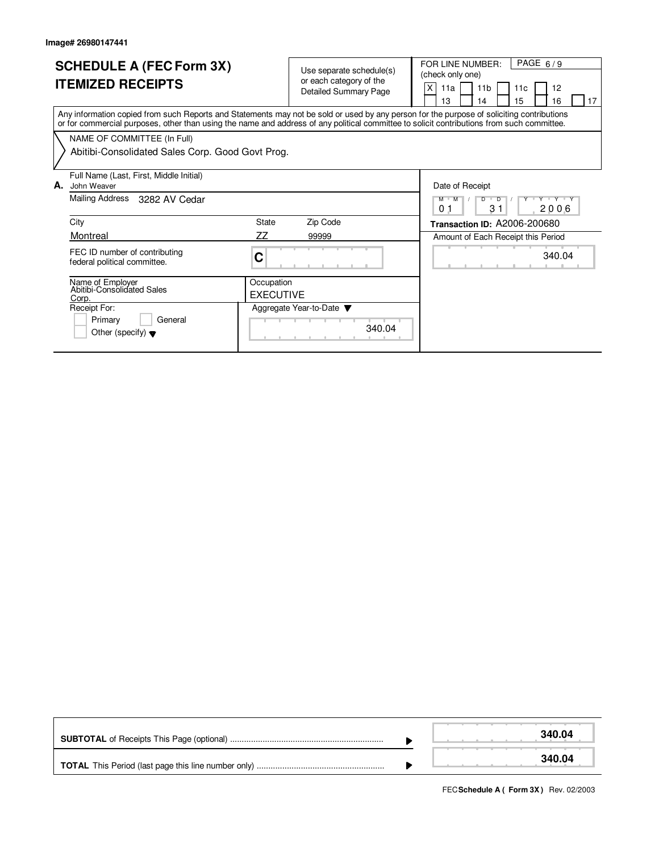Other (specify)  $\blacktriangledown$ 

| <b>SCHEDULE A (FEC Form 3X)</b><br><b>ITEMIZED RECEIPTS</b>                                                                                                                                                                                                                             | Use separate schedule(s)<br>or each category of the<br><b>Detailed Summary Page</b> | PAGE $6/9$<br>FOR LINE NUMBER:<br>(check only one)<br>X<br>11 <sub>b</sub><br>12<br>11a<br>11c<br>15<br>13<br>16<br>17<br>14 |
|-----------------------------------------------------------------------------------------------------------------------------------------------------------------------------------------------------------------------------------------------------------------------------------------|-------------------------------------------------------------------------------------|------------------------------------------------------------------------------------------------------------------------------|
| Any information copied from such Reports and Statements may not be sold or used by any person for the purpose of soliciting contributions<br>or for commercial purposes, other than using the name and address of any political committee to solicit contributions from such committee. |                                                                                     |                                                                                                                              |
| NAME OF COMMITTEE (In Full)<br>Abitibi-Consolidated Sales Corp. Good Govt Prog.                                                                                                                                                                                                         |                                                                                     |                                                                                                                              |
| Full Name (Last, First, Middle Initial)<br>А.<br>John Weaver                                                                                                                                                                                                                            |                                                                                     | Date of Receipt                                                                                                              |
| Mailing Address 3282 AV Cedar                                                                                                                                                                                                                                                           |                                                                                     | Y V Y Y V Y<br>$M$ $M$<br>$D$ $D$<br>31<br>2006<br>0 <sub>1</sub>                                                            |
| City                                                                                                                                                                                                                                                                                    | <b>State</b><br>Zip Code                                                            | <b>Transaction ID: A2006-200680</b>                                                                                          |
| Montreal                                                                                                                                                                                                                                                                                | ΖZ<br>99999                                                                         | Amount of Each Receipt this Period                                                                                           |
| FEC ID number of contributing<br>federal political committee.                                                                                                                                                                                                                           | С                                                                                   | 340.04                                                                                                                       |
| Name of Employer<br>Abitibi-Consolidated Sales<br>Corp.                                                                                                                                                                                                                                 | Occupation<br><b>EXECUTIVE</b>                                                      |                                                                                                                              |
| Receipt For:<br>Primary<br>General                                                                                                                                                                                                                                                      | Aggregate Year-to-Date $\blacktriangledown$                                         |                                                                                                                              |

340.04

|  | 340.04 |
|--|--------|
|  | 340.04 |

**FECSchedule A ( Form 3X)** Rev. 02/2003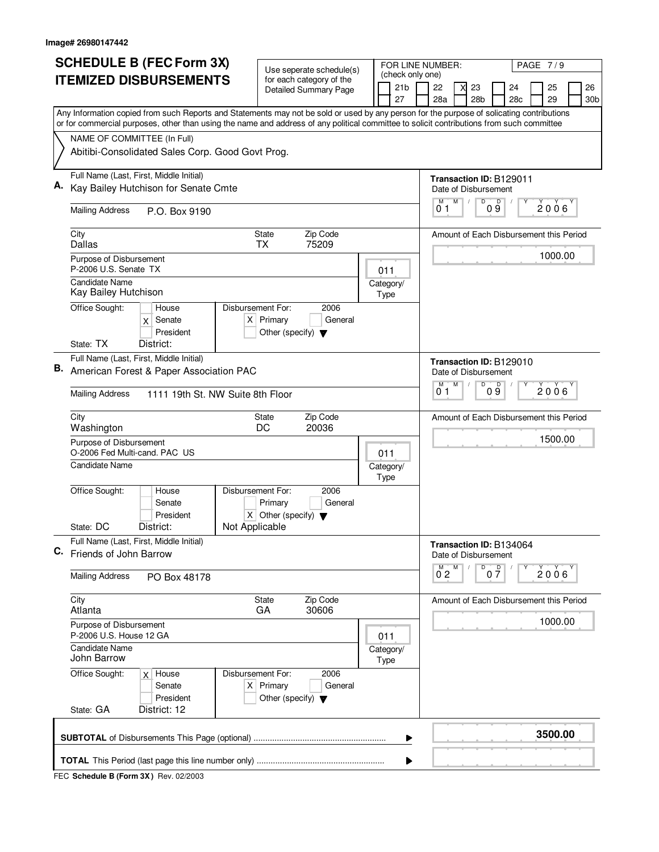|    | <b>SCHEDULE B (FEC Form 3X)</b>                                                                                                                                                                                                                                                        | Use seperate schedule(s)                                               |     | PAGE 7/9<br>FOR LINE NUMBER:              |                    |   |                                   |                                         |  |                |           |
|----|----------------------------------------------------------------------------------------------------------------------------------------------------------------------------------------------------------------------------------------------------------------------------------------|------------------------------------------------------------------------|-----|-------------------------------------------|--------------------|---|-----------------------------------|-----------------------------------------|--|----------------|-----------|
|    | <b>ITEMIZED DISBURSEMENTS</b>                                                                                                                                                                                                                                                          | for each category of the<br><b>Detailed Summary Page</b>               |     | (check only one)<br>21 <sub>b</sub><br>27 | 22<br>28a          | X | 23<br>28 <sub>b</sub>             | 24<br>28c                               |  | 25<br>29       | 26<br>30b |
|    | Any Information copied from such Reports and Statements may not be sold or used by any person for the purpose of solicating contributions<br>or for commercial purposes, other than using the name and address of any political committee to solicit contributions from such committee |                                                                        |     |                                           |                    |   |                                   |                                         |  |                |           |
|    | NAME OF COMMITTEE (In Full)                                                                                                                                                                                                                                                            |                                                                        |     |                                           |                    |   |                                   |                                         |  |                |           |
|    | Abitibi-Consolidated Sales Corp. Good Govt Prog.                                                                                                                                                                                                                                       |                                                                        |     |                                           |                    |   |                                   |                                         |  |                |           |
|    | Full Name (Last, First, Middle Initial)                                                                                                                                                                                                                                                |                                                                        |     |                                           |                    |   |                                   | <b>Transaction ID: B129011</b>          |  |                |           |
|    | Kay Bailey Hutchison for Senate Cmte                                                                                                                                                                                                                                                   |                                                                        |     |                                           |                    |   | Date of Disbursement              |                                         |  |                |           |
|    | <b>Mailing Address</b><br>P.O. Box 9190                                                                                                                                                                                                                                                |                                                                        |     |                                           | M<br>01            | M | D                                 | $0\overset{D}{9}$<br>Υ                  |  | 2006           |           |
|    | City<br><b>Dallas</b>                                                                                                                                                                                                                                                                  | Zip Code<br><b>State</b><br>75209<br>ТX                                |     |                                           |                    |   |                                   | Amount of Each Disbursement this Period |  |                |           |
|    | Purpose of Disbursement<br>P-2006 U.S. Senate TX                                                                                                                                                                                                                                       |                                                                        |     | 011                                       |                    |   |                                   |                                         |  | 1000.00        |           |
|    | Candidate Name<br>Kay Bailey Hutchison                                                                                                                                                                                                                                                 |                                                                        |     | Category/<br>Type                         |                    |   |                                   |                                         |  |                |           |
|    | Office Sought:<br>Disbursement For:<br>House<br>Senate<br>X<br>President                                                                                                                                                                                                               | 2006<br>$X$ Primary<br>General<br>Other (specify) $\blacktriangledown$ |     |                                           |                    |   |                                   |                                         |  |                |           |
|    | State: TX<br>District:                                                                                                                                                                                                                                                                 |                                                                        |     |                                           |                    |   |                                   |                                         |  |                |           |
| В. | Full Name (Last, First, Middle Initial)<br>American Forest & Paper Association PAC                                                                                                                                                                                                     |                                                                        |     |                                           |                    |   | Date of Disbursement              | Transaction ID: B129010                 |  |                |           |
|    | <b>Mailing Address</b><br>1111 19th St. NW Suite 8th Floor                                                                                                                                                                                                                             |                                                                        |     |                                           | M<br>01            | M | D                                 | D<br>09                                 |  | $2006^{\circ}$ |           |
|    | City<br>Washington                                                                                                                                                                                                                                                                     | Zip Code<br>State<br>DC<br>20036                                       |     |                                           |                    |   |                                   | Amount of Each Disbursement this Period |  |                |           |
|    | Purpose of Disbursement<br>O-2006 Fed Multi-cand, PAC US                                                                                                                                                                                                                               |                                                                        | 011 |                                           |                    |   |                                   |                                         |  | 1500.00        |           |
|    | <b>Candidate Name</b>                                                                                                                                                                                                                                                                  |                                                                        |     | Category/<br>Type                         |                    |   |                                   |                                         |  |                |           |
|    | Office Sought:<br>Disbursement For:<br>House<br>Senate<br>President                                                                                                                                                                                                                    | 2006<br>Primary<br>General<br>$X$ Other (specify) $\nabla$             |     |                                           |                    |   |                                   |                                         |  |                |           |
|    | Not Applicable<br>State: DC<br>District:                                                                                                                                                                                                                                               |                                                                        |     |                                           |                    |   |                                   |                                         |  |                |           |
| C. | Full Name (Last, First, Middle Initial)<br>Friends of John Barrow                                                                                                                                                                                                                      |                                                                        |     |                                           |                    |   | Date of Disbursement              | <b>Transaction ID: B134064</b>          |  |                |           |
|    | <b>Mailing Address</b><br>PO Box 48178                                                                                                                                                                                                                                                 |                                                                        |     |                                           | $\overline{0}^M$ 2 | M | $\overline{P}_{0}$ $\overline{P}$ |                                         |  | 2006           |           |
|    | City<br>Atlanta                                                                                                                                                                                                                                                                        | State<br>Zip Code<br>GA<br>30606                                       |     |                                           |                    |   |                                   | Amount of Each Disbursement this Period |  |                |           |
|    | Purpose of Disbursement<br>P-2006 U.S. House 12 GA                                                                                                                                                                                                                                     |                                                                        |     | 011                                       |                    |   |                                   |                                         |  | 1000.00        |           |
|    | <b>Candidate Name</b><br>John Barrow                                                                                                                                                                                                                                                   |                                                                        |     | Category/<br>Type                         |                    |   |                                   |                                         |  |                |           |
|    | Disbursement For:<br>Office Sought:<br>$x$ House<br>Senate<br>President                                                                                                                                                                                                                | 2006<br>$X$ Primary<br>General<br>Other (specify) $\blacktriangledown$ |     |                                           |                    |   |                                   |                                         |  |                |           |
|    | State: GA<br>District: 12                                                                                                                                                                                                                                                              |                                                                        |     |                                           |                    |   |                                   |                                         |  |                |           |
|    |                                                                                                                                                                                                                                                                                        |                                                                        |     | ▶                                         |                    |   |                                   |                                         |  | 3500.00        |           |
|    |                                                                                                                                                                                                                                                                                        |                                                                        |     |                                           |                    |   |                                   |                                         |  |                |           |

**FEC Schedule B (Form 3X)** Rev. 02/2003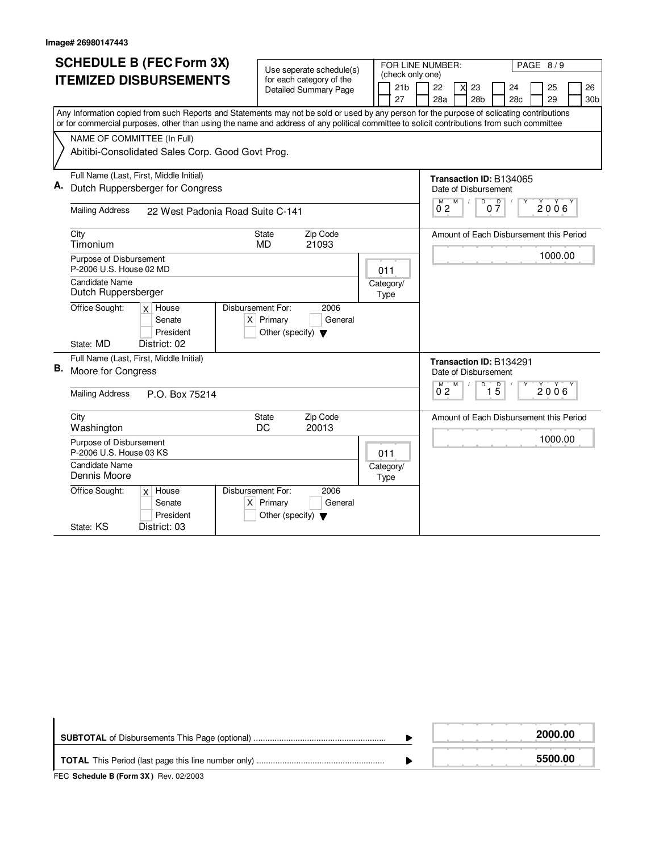| <b>SCHEDULE B (FEC Form 3X)</b> |                                                                                                                                                                                                                                                                                        |                                         |                       |                                                                                                  |
|---------------------------------|----------------------------------------------------------------------------------------------------------------------------------------------------------------------------------------------------------------------------------------------------------------------------------------|-----------------------------------------|-----------------------|--------------------------------------------------------------------------------------------------|
|                                 |                                                                                                                                                                                                                                                                                        | Use seperate schedule(s)                | (check only one)      | PAGE 8/9<br>FOR LINE NUMBER:                                                                     |
|                                 | <b>ITEMIZED DISBURSEMENTS</b>                                                                                                                                                                                                                                                          | for each category of the                |                       |                                                                                                  |
|                                 |                                                                                                                                                                                                                                                                                        | <b>Detailed Summary Page</b>            | 21 <sub>b</sub><br>27 | 23<br>26<br>22<br>24<br>25<br>28 <sub>b</sub><br>29<br>28a<br>28 <sub>c</sub><br>30 <sub>b</sub> |
|                                 |                                                                                                                                                                                                                                                                                        |                                         |                       |                                                                                                  |
|                                 | Any Information copied from such Reports and Statements may not be sold or used by any person for the purpose of solicating contributions<br>or for commercial purposes, other than using the name and address of any political committee to solicit contributions from such committee |                                         |                       |                                                                                                  |
|                                 |                                                                                                                                                                                                                                                                                        |                                         |                       |                                                                                                  |
|                                 | NAME OF COMMITTEE (In Full)                                                                                                                                                                                                                                                            |                                         |                       |                                                                                                  |
|                                 | Abitibi-Consolidated Sales Corp. Good Govt Prog.                                                                                                                                                                                                                                       |                                         |                       |                                                                                                  |
|                                 |                                                                                                                                                                                                                                                                                        |                                         |                       |                                                                                                  |
|                                 | Full Name (Last, First, Middle Initial)                                                                                                                                                                                                                                                |                                         |                       | Transaction ID: B134065                                                                          |
| Α.                              | Dutch Ruppersberger for Congress                                                                                                                                                                                                                                                       |                                         |                       | Date of Disbursement                                                                             |
|                                 | <b>Mailing Address</b>                                                                                                                                                                                                                                                                 |                                         |                       | D<br>$0\frac{D}{7}$<br>M<br>M<br>2006<br>02                                                      |
|                                 | 22 West Padonia Road Suite C-141                                                                                                                                                                                                                                                       |                                         |                       |                                                                                                  |
|                                 | City                                                                                                                                                                                                                                                                                   | Zip Code<br><b>State</b>                |                       | Amount of Each Disbursement this Period                                                          |
|                                 | Timonium                                                                                                                                                                                                                                                                               | 21093<br><b>MD</b>                      |                       |                                                                                                  |
|                                 | Purpose of Disbursement                                                                                                                                                                                                                                                                |                                         |                       | 1000.00                                                                                          |
|                                 | P-2006 U.S. House 02 MD                                                                                                                                                                                                                                                                |                                         | 011                   |                                                                                                  |
|                                 | <b>Candidate Name</b>                                                                                                                                                                                                                                                                  |                                         | Category/             |                                                                                                  |
|                                 | Dutch Ruppersberger                                                                                                                                                                                                                                                                    |                                         | Type                  |                                                                                                  |
|                                 | Office Sought:<br>$x$ House                                                                                                                                                                                                                                                            | Disbursement For:<br>2006               |                       |                                                                                                  |
|                                 | Senate                                                                                                                                                                                                                                                                                 | $X$ Primary<br>General                  |                       |                                                                                                  |
|                                 | President                                                                                                                                                                                                                                                                              | Other (specify) $\blacktriangledown$    |                       |                                                                                                  |
|                                 | District: 02<br>State: MD                                                                                                                                                                                                                                                              |                                         |                       |                                                                                                  |
|                                 | Full Name (Last, First, Middle Initial)                                                                                                                                                                                                                                                |                                         |                       | Transaction ID: B134291                                                                          |
| В.                              | Moore for Congress                                                                                                                                                                                                                                                                     |                                         |                       | Date of Disbursement                                                                             |
|                                 |                                                                                                                                                                                                                                                                                        |                                         |                       | D<br>$\overline{5}$<br>M<br>M<br>2006                                                            |
|                                 | <b>Mailing Address</b><br>P.O. Box 75214                                                                                                                                                                                                                                               |                                         |                       | 0 <sub>2</sub><br>1                                                                              |
|                                 |                                                                                                                                                                                                                                                                                        |                                         |                       |                                                                                                  |
|                                 | City<br>Washington                                                                                                                                                                                                                                                                     | Zip Code<br><b>State</b><br>20013<br>DC |                       | Amount of Each Disbursement this Period                                                          |
|                                 | Purpose of Disbursement                                                                                                                                                                                                                                                                |                                         |                       | 1000.00                                                                                          |
|                                 | P-2006 U.S. House 03 KS                                                                                                                                                                                                                                                                |                                         | 011                   |                                                                                                  |
|                                 | <b>Candidate Name</b>                                                                                                                                                                                                                                                                  |                                         | Category/             |                                                                                                  |
|                                 | Dennis Moore                                                                                                                                                                                                                                                                           |                                         | Type                  |                                                                                                  |
|                                 | Office Sought:<br>$x$ House                                                                                                                                                                                                                                                            | Disbursement For:<br>2006               |                       |                                                                                                  |
|                                 | Senate                                                                                                                                                                                                                                                                                 | $X$ Primary<br>General                  |                       |                                                                                                  |
|                                 | President                                                                                                                                                                                                                                                                              | Other (specify) $\blacktriangledown$    |                       |                                                                                                  |
|                                 | District: 03<br>State: KS                                                                                                                                                                                                                                                              |                                         |                       |                                                                                                  |

|                                                | 2000.00 |
|------------------------------------------------|---------|
| $T = 0$ at the $T = 0$ and $T = 0$ and $T = 0$ | 5500.00 |

**FEC Schedule B (Form 3X)** Rev. 02/2003